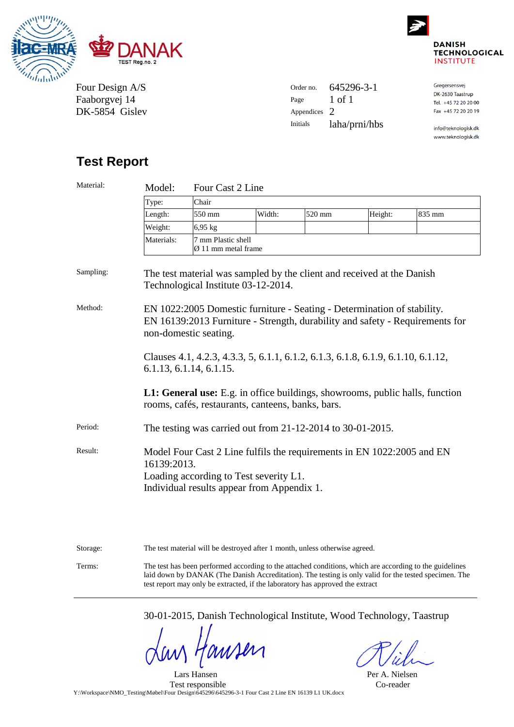



www.teknologisk.dk

Four Design A/S Faaborgvej 14 DK-5854 Gislev

| Order no.       | 645296-3-1    | Gregersensvej        |
|-----------------|---------------|----------------------|
|                 |               | DK-2630 Taastrup     |
| Page            | 1 of 1        | Tel. +45 72 20 20 00 |
| Appendices 2    |               | Fax +45 72 20 20 19  |
| <b>Initials</b> | laha/prni/hbs | info@teknologisk.dk  |

# **Test Report**

| Material: | Model:                                                                                                                                                                                                                                           | Four Cast 2 Line                          |        |        |         |        |
|-----------|--------------------------------------------------------------------------------------------------------------------------------------------------------------------------------------------------------------------------------------------------|-------------------------------------------|--------|--------|---------|--------|
|           | Type:                                                                                                                                                                                                                                            | Chair                                     |        |        |         |        |
|           | Length:                                                                                                                                                                                                                                          | 550 mm                                    | Width: | 520 mm | Height: | 835 mm |
|           | Weight:                                                                                                                                                                                                                                          | 6,95 kg                                   |        |        |         |        |
|           | Materials:                                                                                                                                                                                                                                       | 7 mm Plastic shell<br>Ø 11 mm metal frame |        |        |         |        |
| Sampling: | The test material was sampled by the client and received at the Danish<br>Technological Institute 03-12-2014.                                                                                                                                    |                                           |        |        |         |        |
| Method:   | EN 1022:2005 Domestic furniture - Seating - Determination of stability.<br>EN 16139:2013 Furniture - Strength, durability and safety - Requirements for<br>non-domestic seating.                                                                 |                                           |        |        |         |        |
|           | Clauses 4.1, 4.2.3, 4.3.3, 5, 6.1.1, 6.1.2, 6.1.3, 6.1.8, 6.1.9, 6.1.10, 6.1.12,<br>6.1.13, 6.1.14, 6.1.15.<br>L1: General use: E.g. in office buildings, showrooms, public halls, function<br>rooms, cafés, restaurants, canteens, banks, bars. |                                           |        |        |         |        |
|           |                                                                                                                                                                                                                                                  |                                           |        |        |         |        |
| Period:   | The testing was carried out from 21-12-2014 to 30-01-2015.                                                                                                                                                                                       |                                           |        |        |         |        |
| Result:   | Model Four Cast 2 Line fulfils the requirements in EN 1022:2005 and EN<br>16139:2013.<br>Loading according to Test severity L1.<br>Individual results appear from Appendix 1.                                                                    |                                           |        |        |         |        |
|           |                                                                                                                                                                                                                                                  |                                           |        |        |         |        |

Storage: The test material will be destroyed after 1 month, unless otherwise agreed.

Terms: The test has been performed according to the attached conditions, which are according to the guidelines laid down by DANAK (The Danish Accreditation). The testing is only valid for the tested specimen. The test report may only be extracted, if the laboratory has approved the extract

30-01-2015, Danish Technological Institute, Wood Technology, Taastrup

WHM

Per A. Nielsen Co-reader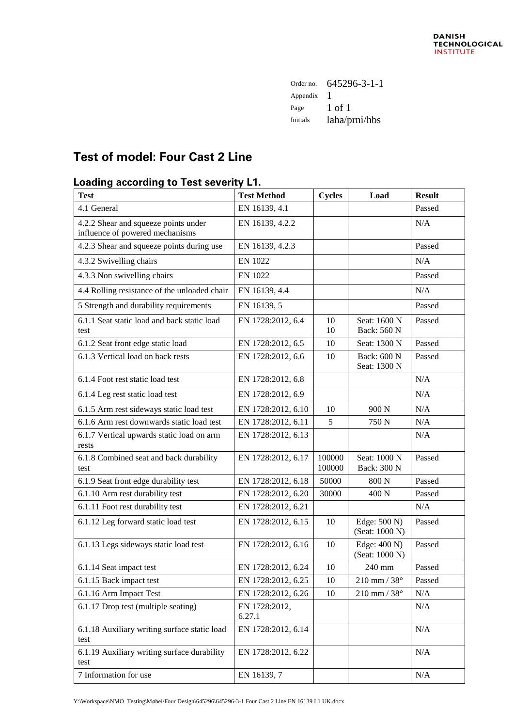| Order no.       | 645296-3-1-1  |
|-----------------|---------------|
| Appendix        |               |
| Page            | 1 of 1        |
| <b>Initials</b> | laha/prni/hbs |

# **Test of model: Four Cast 2 Line**

### **Loading according to Test severity L1.**

| <b>Test</b>                                                             | <b>Test Method</b>      | <b>Cycles</b>    | Load                           | <b>Result</b> |
|-------------------------------------------------------------------------|-------------------------|------------------|--------------------------------|---------------|
| 4.1 General                                                             | EN 16139, 4.1           |                  |                                | Passed        |
| 4.2.2 Shear and squeeze points under<br>influence of powered mechanisms | EN 16139, 4.2.2         |                  |                                | N/A           |
| 4.2.3 Shear and squeeze points during use                               | EN 16139, 4.2.3         |                  |                                | Passed        |
| 4.3.2 Swivelling chairs                                                 | <b>EN 1022</b>          |                  |                                | N/A           |
| 4.3.3 Non swivelling chairs                                             | <b>EN 1022</b>          |                  |                                | Passed        |
| 4.4 Rolling resistance of the unloaded chair                            | EN 16139, 4.4           |                  |                                | N/A           |
| 5 Strength and durability requirements                                  | EN 16139, 5             |                  |                                | Passed        |
| 6.1.1 Seat static load and back static load<br>test                     | EN 1728:2012, 6.4       | 10<br>10         | Seat: 1600 N<br>Back: 560 N    | Passed        |
| 6.1.2 Seat front edge static load                                       | EN 1728:2012, 6.5       | 10               | Seat: 1300 N                   | Passed        |
| 6.1.3 Vertical load on back rests                                       | EN 1728:2012, 6.6       | 10               | Back: 600 N<br>Seat: 1300 N    | Passed        |
| 6.1.4 Foot rest static load test                                        | EN 1728:2012, 6.8       |                  |                                | N/A           |
| 6.1.4 Leg rest static load test                                         | EN 1728:2012, 6.9       |                  |                                | N/A           |
| 6.1.5 Arm rest sideways static load test                                | EN 1728:2012, 6.10      | 10               | 900 N                          | N/A           |
| 6.1.6 Arm rest downwards static load test                               | EN 1728:2012, 6.11      | 5                | 750 N                          | N/A           |
| 6.1.7 Vertical upwards static load on arm                               | EN 1728:2012, 6.13      |                  |                                | N/A           |
| rests<br>6.1.8 Combined seat and back durability<br>test                | EN 1728:2012, 6.17      | 100000<br>100000 | Seat: 1000 N<br>Back: 300 N    | Passed        |
| 6.1.9 Seat front edge durability test                                   | EN 1728:2012, 6.18      | 50000            | 800 N                          | Passed        |
| 6.1.10 Arm rest durability test                                         | EN 1728:2012, 6.20      | 30000            | 400 N                          | Passed        |
| 6.1.11 Foot rest durability test                                        | EN 1728:2012, 6.21      |                  |                                | N/A           |
| 6.1.12 Leg forward static load test                                     | EN 1728:2012, 6.15      | 10               | Edge: 500 N)<br>(Seat: 1000 N) | Passed        |
| 6.1.13 Legs sideways static load test                                   | EN 1728:2012, 6.16      | 10               | Edge: 400 N)<br>(Seat: 1000 N) | Passed        |
| 6.1.14 Seat impact test                                                 | EN 1728:2012, 6.24      | 10               | 240 mm                         | Passed        |
| 6.1.15 Back impact test                                                 | EN 1728:2012, 6.25      | 10               | $210$ mm $/$ $38^{\circ}$      | Passed        |
| 6.1.16 Arm Impact Test                                                  | EN 1728:2012, 6.26      | 10               | $210$ mm / $38^\circ$          | N/A           |
| 6.1.17 Drop test (multiple seating)                                     | EN 1728:2012,<br>6.27.1 |                  |                                | N/A           |
| 6.1.18 Auxiliary writing surface static load<br>test                    | EN 1728:2012, 6.14      |                  |                                | N/A           |
| 6.1.19 Auxiliary writing surface durability<br>test                     | EN 1728:2012, 6.22      |                  |                                | N/A           |
| 7 Information for use                                                   | EN 16139, 7             |                  |                                | N/A           |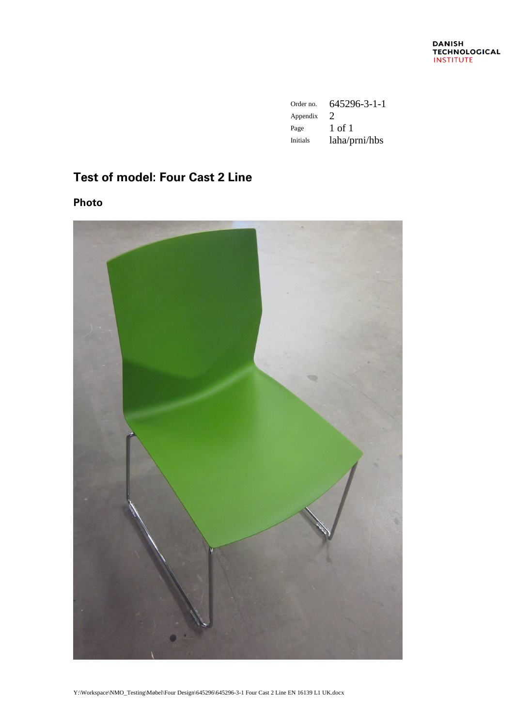| Order no.       | 645296-3-1-1                |
|-----------------|-----------------------------|
| Appendix        | $\mathcal{D}_{\mathcal{L}}$ |
| Page            | 1 of 1                      |
| <b>Initials</b> | laha/prni/hbs               |

# **Test of model: Four Cast 2 Line**

**Photo**

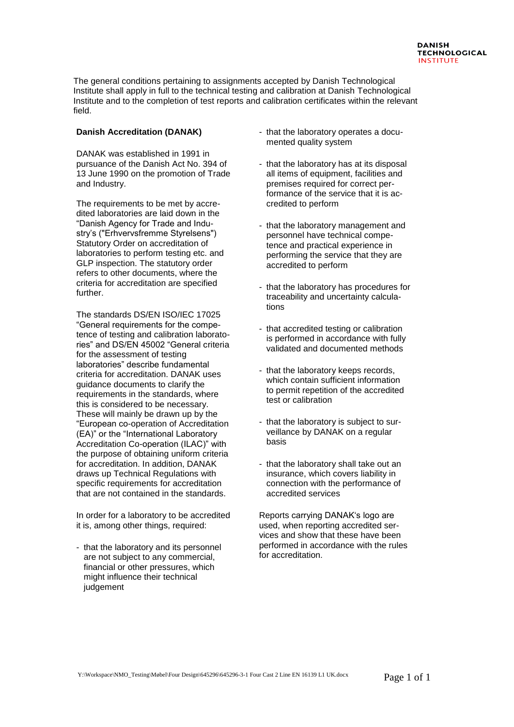The general conditions pertaining to assignments accepted by Danish Technological Institute shall apply in full to the technical testing and calibration at Danish Technological Institute and to the completion of test reports and calibration certificates within the relevant field.

#### **Danish Accreditation (DANAK)**

DANAK was established in 1991 in pursuance of the Danish Act No. 394 of 13 June 1990 on the promotion of Trade and Industry.

The requirements to be met by accredited laboratories are laid down in the "Danish Agency for Trade and Industry's ("Erhvervsfremme Styrelsens") Statutory Order on accreditation of laboratories to perform testing etc. and GLP inspection. The statutory order refers to other documents, where the criteria for accreditation are specified further.

The standards DS/EN ISO/IEC 17025 "General requirements for the competence of testing and calibration laboratories" and DS/EN 45002 "General criteria for the assessment of testing laboratories" describe fundamental criteria for accreditation. DANAK uses guidance documents to clarify the requirements in the standards, where this is considered to be necessary. These will mainly be drawn up by the "European co-operation of Accreditation (EA)" or the "International Laboratory Accreditation Co-operation (ILAC)" with the purpose of obtaining uniform criteria for accreditation. In addition, DANAK draws up Technical Regulations with specific requirements for accreditation that are not contained in the standards.

In order for a laboratory to be accredited it is, among other things, required:

- that the laboratory and its personnel are not subject to any commercial, financial or other pressures, which might influence their technical judgement

- that the laboratory operates a documented quality system
- that the laboratory has at its disposal all items of equipment, facilities and premises required for correct performance of the service that it is accredited to perform
- that the laboratory management and personnel have technical competence and practical experience in performing the service that they are accredited to perform
- that the laboratory has procedures for traceability and uncertainty calculations
- that accredited testing or calibration is performed in accordance with fully validated and documented methods
- that the laboratory keeps records, which contain sufficient information to permit repetition of the accredited test or calibration
- that the laboratory is subject to surveillance by DANAK on a regular basis
- that the laboratory shall take out an insurance, which covers liability in connection with the performance of accredited services

Reports carrying DANAK's logo are used, when reporting accredited services and show that these have been performed in accordance with the rules for accreditation.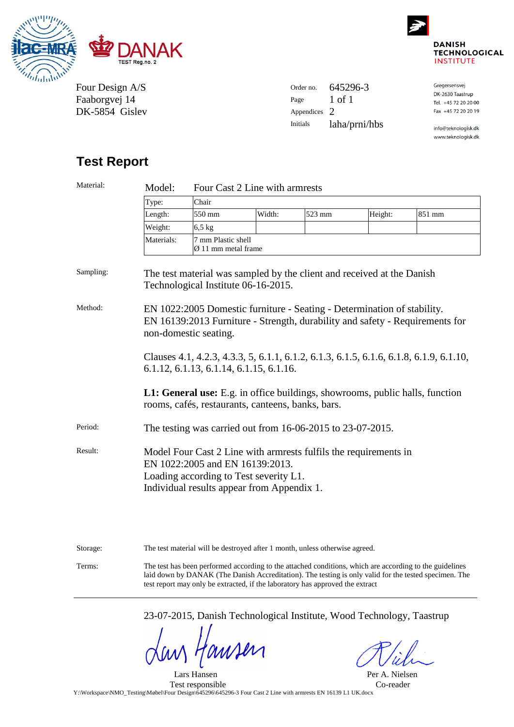



Four Design A/S Faaborgvej 14 DK-5854 Gislev

| Order no.       | 645296-3      | Gregersensvej        |
|-----------------|---------------|----------------------|
|                 |               | DK-2630 Taastrup     |
| Page            | 1 of 1        | Tel. +45 72 20 20 00 |
| Appendices 2    |               | Fax +45 72 20 20 19  |
| <b>Initials</b> | laha/prni/hbs | info@teknologisk.dk  |
|                 |               | www.teknologisk.dk   |

# **Test Report**

| Material: | Model:                                                                                                                                                                                      | Four Cast 2 Line with armrests                        |        |        |         |        |  |
|-----------|---------------------------------------------------------------------------------------------------------------------------------------------------------------------------------------------|-------------------------------------------------------|--------|--------|---------|--------|--|
|           | Type:                                                                                                                                                                                       | Chair                                                 |        |        |         |        |  |
|           | Length:                                                                                                                                                                                     | 550 mm                                                | Width: | 523 mm | Height: | 851 mm |  |
|           | Weight:                                                                                                                                                                                     | $6,5$ kg                                              |        |        |         |        |  |
|           | Materials:                                                                                                                                                                                  | 7 mm Plastic shell<br>$\varnothing$ 11 mm metal frame |        |        |         |        |  |
| Sampling: | The test material was sampled by the client and received at the Danish<br>Technological Institute 06-16-2015.                                                                               |                                                       |        |        |         |        |  |
| Method:   | EN 1022:2005 Domestic furniture - Seating - Determination of stability.<br>EN 16139:2013 Furniture - Strength, durability and safety - Requirements for<br>non-domestic seating.            |                                                       |        |        |         |        |  |
|           | Clauses 4.1, 4.2.3, 4.3.3, 5, 6.1.1, 6.1.2, 6.1.3, 6.1.5, 6.1.6, 6.1.8, 6.1.9, 6.1.10,<br>$6.1.12, 6.1.13, 6.1.14, 6.1.15, 6.1.16.$                                                         |                                                       |        |        |         |        |  |
|           | L1: General use: E.g. in office buildings, showrooms, public halls, function<br>rooms, cafés, restaurants, canteens, banks, bars.                                                           |                                                       |        |        |         |        |  |
| Period:   | The testing was carried out from 16-06-2015 to 23-07-2015.                                                                                                                                  |                                                       |        |        |         |        |  |
| Result:   | Model Four Cast 2 Line with armrests fulfils the requirements in<br>EN 1022:2005 and EN 16139:2013.<br>Loading according to Test severity L1.<br>Individual results appear from Appendix 1. |                                                       |        |        |         |        |  |
|           |                                                                                                                                                                                             |                                                       |        |        |         |        |  |

Storage: The test material will be destroyed after 1 month, unless otherwise agreed. Terms: The test has been performed according to the attached conditions, which are according to the guidelines laid down by DANAK (The Danish Accreditation). The testing is only valid for the tested specimen. The test report may only be extracted, if the laboratory has approved the extract

23-07-2015, Danish Technological Institute, Wood Technology, Taastrup

WHM

Per A. Nielsen Co-reader

 Lars Hansen Test responsible Y:\Workspace\NMO\_Testing\Møbel\Four Design\645296\645296-3 Four Cast 2 Line with armrests EN 16139 L1 UK.docx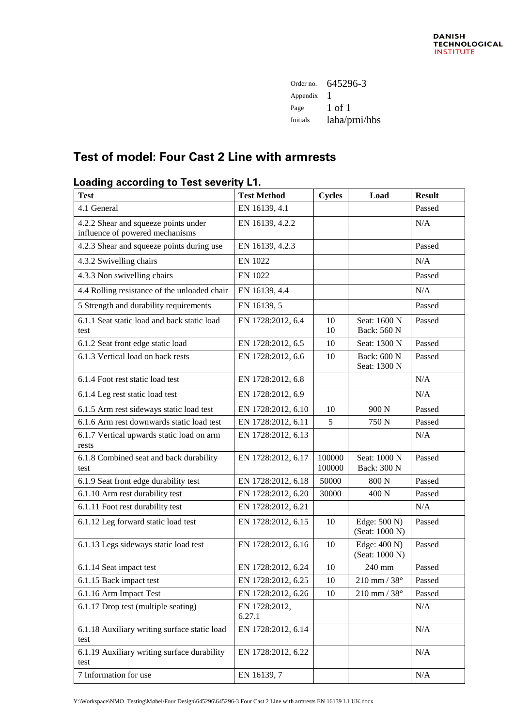| Order no.       | 645296-3      |
|-----------------|---------------|
| Appendix        |               |
| Page            | 1 of 1        |
| <b>Initials</b> | laha/prni/hbs |

# **Test of model: Four Cast 2 Line with armrests**

### **Loading according to Test severity L1.**

| <b>Test</b>                                                             | <b>Test Method</b>      | <b>Cycles</b>    | Load                           | <b>Result</b> |
|-------------------------------------------------------------------------|-------------------------|------------------|--------------------------------|---------------|
| 4.1 General                                                             | EN 16139, 4.1           |                  |                                | Passed        |
| 4.2.2 Shear and squeeze points under<br>influence of powered mechanisms | EN 16139, 4.2.2         |                  |                                | N/A           |
| 4.2.3 Shear and squeeze points during use                               | EN 16139, 4.2.3         |                  |                                | Passed        |
| 4.3.2 Swivelling chairs                                                 | <b>EN 1022</b>          |                  |                                | N/A           |
| 4.3.3 Non swivelling chairs                                             | <b>EN 1022</b>          |                  |                                | Passed        |
| 4.4 Rolling resistance of the unloaded chair                            | EN 16139, 4.4           |                  |                                | N/A           |
| 5 Strength and durability requirements                                  | EN 16139, 5             |                  |                                | Passed        |
| 6.1.1 Seat static load and back static load<br>test                     | EN 1728:2012, 6.4       | 10<br>10         | Seat: 1600 N<br>Back: 560 N    | Passed        |
| 6.1.2 Seat front edge static load                                       | EN 1728:2012, 6.5       | 10               | Seat: 1300 N                   | Passed        |
| 6.1.3 Vertical load on back rests                                       | EN 1728:2012, 6.6       | 10               | Back: 600 N<br>Seat: 1300 N    | Passed        |
| 6.1.4 Foot rest static load test                                        | EN 1728:2012, 6.8       |                  |                                | N/A           |
| 6.1.4 Leg rest static load test                                         | EN 1728:2012, 6.9       |                  |                                | N/A           |
| 6.1.5 Arm rest sideways static load test                                | EN 1728:2012, 6.10      | 10               | 900 N                          | Passed        |
| 6.1.6 Arm rest downwards static load test                               | EN 1728:2012, 6.11      | 5                | 750 N                          | Passed        |
| 6.1.7 Vertical upwards static load on arm                               | EN 1728:2012, 6.13      |                  |                                | N/A           |
| rests                                                                   |                         |                  |                                |               |
| 6.1.8 Combined seat and back durability<br>test                         | EN 1728:2012, 6.17      | 100000<br>100000 | Seat: 1000 N<br>Back: 300 N    | Passed        |
| 6.1.9 Seat front edge durability test                                   | EN 1728:2012, 6.18      | 50000            | 800 N                          | Passed        |
| 6.1.10 Arm rest durability test                                         | EN 1728:2012, 6.20      | 30000            | 400 N                          | Passed        |
| 6.1.11 Foot rest durability test                                        | EN 1728:2012, 6.21      |                  |                                | N/A           |
| 6.1.12 Leg forward static load test                                     | EN 1728:2012, 6.15      | 10               | Edge: 500 N)<br>(Seat: 1000 N) | Passed        |
| 6.1.13 Legs sideways static load test                                   | EN 1728:2012, 6.16      | 10               | Edge: 400 N)<br>(Seat: 1000 N) | Passed        |
| 6.1.14 Seat impact test                                                 | EN 1728:2012, 6.24      | 10               | 240 mm                         | Passed        |
| 6.1.15 Back impact test                                                 | EN 1728:2012, 6.25      | 10               | $210$ mm / $38^\circ$          | Passed        |
| 6.1.16 Arm Impact Test                                                  | EN 1728:2012, 6.26      | 10               | $210$ mm / $38^\circ$          | Passed        |
| 6.1.17 Drop test (multiple seating)                                     | EN 1728:2012,<br>6.27.1 |                  |                                | N/A           |
| 6.1.18 Auxiliary writing surface static load<br>test                    | EN 1728:2012, 6.14      |                  |                                | N/A           |
| 6.1.19 Auxiliary writing surface durability<br>test                     | EN 1728:2012, 6.22      |                  |                                | N/A           |
| 7 Information for use                                                   | EN 16139, 7             |                  |                                | N/A           |

Y:\Workspace\NMO\_Testing\Møbel\Four Design\645296\645296-3 Four Cast 2 Line with armrests EN 16139 L1 UK.docx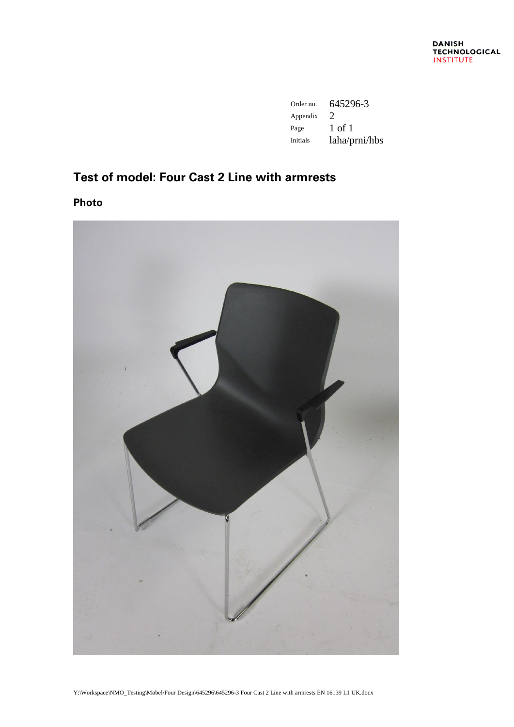| Order no. | 645296-3                    |
|-----------|-----------------------------|
| Appendix  | $\mathcal{D}_{\mathcal{L}}$ |
| Page      | 1 of 1                      |
| Initials  | laha/prni/hbs               |

## **Test of model: Four Cast 2 Line with armrests**

**Photo**